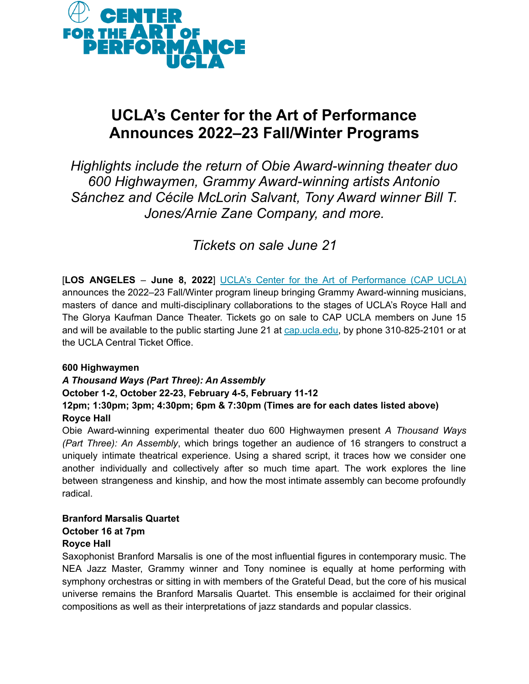

# **UCLA's Center for the Art of Performance Announces 2022–23 Fall/Winter Programs**

*Highlights include the return of Obie Award-winning theater duo 600 Highwaymen, Grammy Award-winning artists Antonio Sánchez and Cécile McLorin Salvant, Tony Award winner Bill T. Jones/Arnie Zane Company, and more.*

*Tickets on sale June 21*

[**LOS ANGELES** – **June 8, 2022**] UCLA's Center for the Art of [Performance](http://cap.ucla.edu/) (CAP UCLA) announces the 2022–23 Fall/Winter program lineup bringing Grammy Award-winning musicians, masters of dance and multi-disciplinary collaborations to the stages of UCLA's Royce Hall and The Glorya Kaufman Dance Theater. Tickets go on sale to CAP UCLA members on June 15 and will be available to the public starting June 21 at [cap.ucla.edu,](https://cap.ucla.edu/landing/2022-23_fw) by phone 310-825-2101 or at the UCLA Central Ticket Office.

#### **600 Highwaymen**

## *A Thousand Ways (Part Three): An Assembly*

#### **October 1-2, October 22-23, February 4-5, February 11-12**

#### **12pm; 1:30pm; 3pm; 4:30pm; 6pm & 7:30pm (Times are for each dates listed above) Royce Hall**

Obie Award-winning experimental theater duo 600 Highwaymen present *A Thousand Ways (Part Three): An Assembly*, which brings together an audience of 16 strangers to construct a uniquely intimate theatrical experience. Using a shared script, it traces how we consider one another individually and collectively after so much time apart. The work explores the line between strangeness and kinship, and how the most intimate assembly can become profoundly radical.

## **Branford Marsalis Quartet October 16 at 7pm**

#### **Royce Hall**

Saxophonist Branford Marsalis is one of the most influential figures in contemporary music. The NEA Jazz Master, Grammy winner and Tony nominee is equally at home performing with symphony orchestras or sitting in with members of the Grateful Dead, but the core of his musical universe remains the Branford Marsalis Quartet. This ensemble is acclaimed for their original compositions as well as their interpretations of jazz standards and popular classics.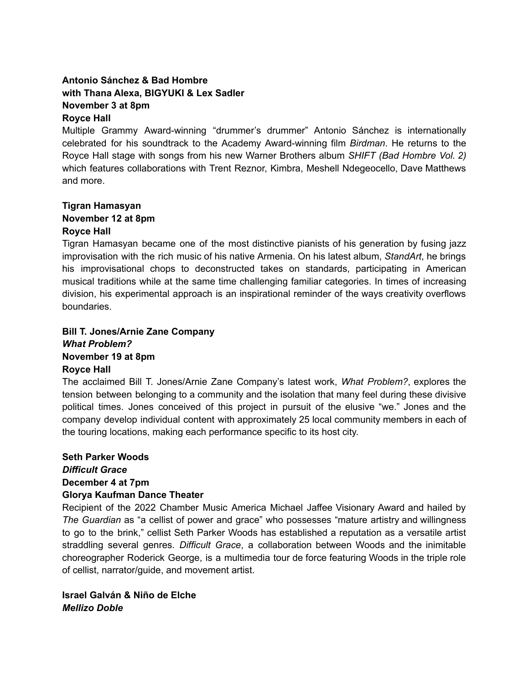#### **Antonio Sánchez & Bad Hombre with Thana Alexa, BIGYUKI & Lex Sadler November 3 at 8pm Royce Hall**

Multiple Grammy Award-winning "drummer's drummer" Antonio Sánchez is internationally celebrated for his soundtrack to the Academy Award-winning film *Birdman*. He returns to the Royce Hall stage with songs from his new Warner Brothers album *SHIFT (Bad Hombre Vol. 2)* which features collaborations with Trent Reznor, Kimbra, Meshell Ndegeocello, Dave Matthews and more.

#### **Tigran Hamasyan November 12 at 8pm Royce Hall**

Tigran Hamasyan became one of the most distinctive pianists of his generation by fusing jazz improvisation with the rich music of his native Armenia. On his latest album, *StandArt*, he brings his improvisational chops to deconstructed takes on standards, participating in American musical traditions while at the same time challenging familiar categories. In times of increasing division, his experimental approach is an inspirational reminder of the ways creativity overflows boundaries.

#### **Bill T. Jones/Arnie Zane Company** *What Problem?* **November 19 at 8pm Royce Hall**

The acclaimed Bill T. Jones/Arnie Zane Company's latest work, *What Problem?*, explores the tension between belonging to a community and the isolation that many feel during these divisive political times. Jones conceived of this project in pursuit of the elusive "we." Jones and the company develop individual content with approximately 25 local community members in each of the touring locations, making each performance specific to its host city.

#### **Seth Parker Woods** *Difficult Grace* **December 4 at 7pm Glorya Kaufman Dance Theater**

Recipient of the 2022 Chamber Music America Michael Jaffee Visionary Award and hailed by *The Guardian* as "a cellist of power and grace" who possesses "mature artistry and willingness to go to the brink," cellist Seth Parker Woods has established a reputation as a versatile artist straddling several genres. *Difficult Grace*, a collaboration between Woods and the inimitable choreographer Roderick George, is a multimedia tour de force featuring Woods in the triple role of cellist, narrator/guide, and movement artist.

**Israel Galván & Niño de Elche** *Mellizo Doble*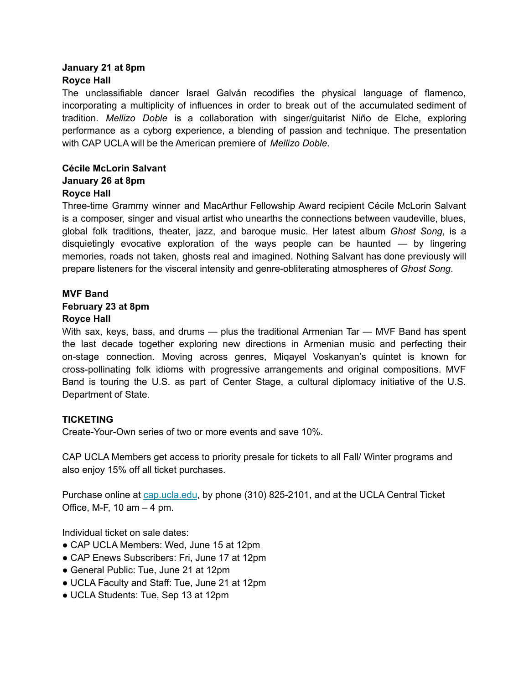#### **January 21 at 8pm Royce Hall**

The unclassifiable dancer Israel Galván recodifies the physical language of flamenco, incorporating a multiplicity of influences in order to break out of the accumulated sediment of tradition. *Mellizo Doble* is a collaboration with singer/guitarist Niño de Elche, exploring performance as a cyborg experience, a blending of passion and technique. The presentation with CAP UCLA will be the American premiere of *Mellizo Doble*.

#### **Cécile McLorin Salvant January 26 at 8pm Royce Hall**

Three-time Grammy winner and MacArthur Fellowship Award recipient Cécile McLorin Salvant is a composer, singer and visual artist who unearths the connections between vaudeville, blues, global folk traditions, theater, jazz, and baroque music. Her latest album *Ghost Song*, is a disquietingly evocative exploration of the ways people can be haunted — by lingering memories, roads not taken, ghosts real and imagined. Nothing Salvant has done previously will prepare listeners for the visceral intensity and genre-obliterating atmospheres of *Ghost Song*.

# **MVF Band February 23 at 8pm**

#### **Royce Hall**

With sax, keys, bass, and drums — plus the traditional Armenian Tar — MVF Band has spent the last decade together exploring new directions in Armenian music and perfecting their on-stage connection. Moving across genres, Miqayel Voskanyan's quintet is known for cross-pollinating folk idioms with progressive arrangements and original compositions. MVF Band is touring the U.S. as part of Center Stage, a cultural diplomacy initiative of the U.S. Department of State.

#### **TICKETING**

Create-Your-Own series of two or more events and save 10%.

CAP UCLA Members get access to priority presale for tickets to all Fall/ Winter programs and also enjoy 15% off all ticket purchases.

Purchase online at [cap.ucla.edu](https://cap.ucla.edu/landing/2022-23_fw), by phone (310) 825-2101, and at the UCLA Central Ticket Office, M-F, 10 am  $-$  4 pm.

Individual ticket on sale dates:

- CAP UCLA Members: Wed, June 15 at 12pm
- CAP Enews Subscribers: Fri, June 17 at 12pm
- General Public: Tue, June 21 at 12pm
- UCLA Faculty and Staff: Tue, June 21 at 12pm
- UCLA Students: Tue, Sep 13 at 12pm